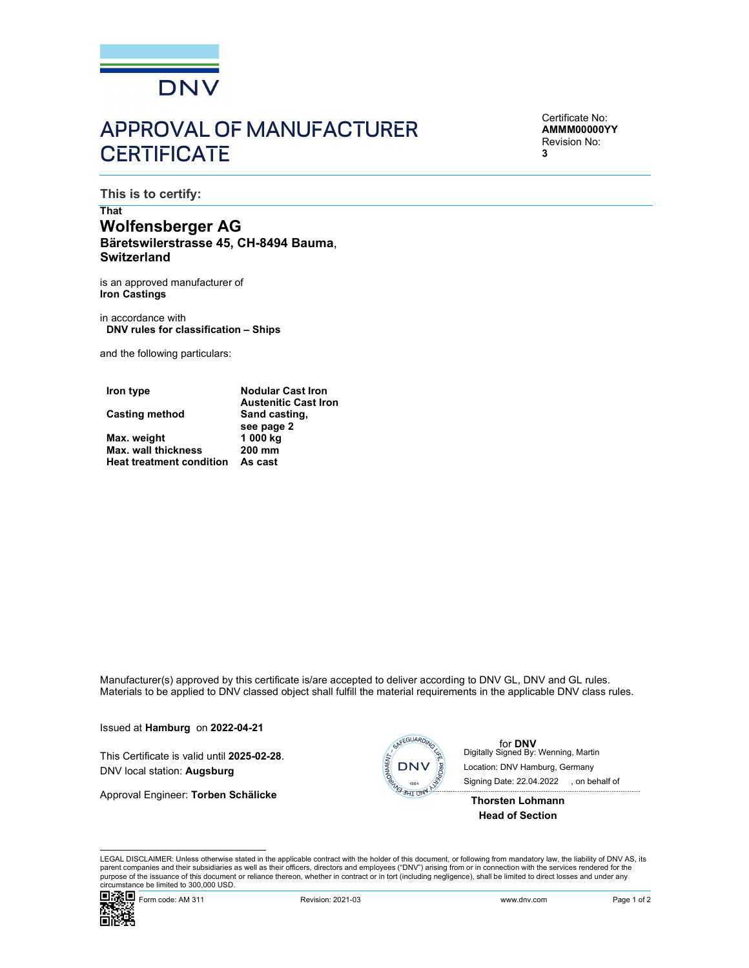

# APPROVAL OF MANUFACTURER **CERTIFICATE**

Certificate No: AMMM00000YY Revision No: 3

This is to certify:

## That Wolfensberger AG<br>Bäretswilerstrasse 45, CH-8494 Bauma, **Switzerland**

is an approved manufacturer of Iron Castings

in accordance with DNV rules for classification – Ships

and the following particulars:

| Iron type                       | <b>Nodular Cast Iron</b>    |
|---------------------------------|-----------------------------|
|                                 | <b>Austenitic Cast Iron</b> |
| Casting method                  | Sand casting.               |
|                                 | see page 2                  |
| Max. weight                     | 1 000 kg                    |
| <b>Max. wall thickness</b>      | 200 mm                      |
| <b>Heat treatment condition</b> | As cast                     |

Manufacturer(s) approved by this certificate is/are accepted to deliver according to DNV GL, DNV and GL rules. Materials to be applied to DNV classed object shall fulfill the material requirements in the applicable DNV class rules.

Issued at **Hamburg** on 2022-04-21<br>This Certificate is valid until 2025-02-28. DNV local station: Augsburg die and the station: Augsburg die and the station: Augsburg die and the station: Augsburg die and the station: Augs

Approval Engineer: Torben Schälicke



**for DNV**<br>Digitally Signed By: Wenning, Martin Signing Date: 22.04.2022 , on behalf ofLocation: DNV Hamburg, Germany

Thorsten Lohmann Head of Section

turer(s) approved by this certificate is/are accepted to deliver according to DNV GL, DNV and GL rules.<br>
The applicate of DNV class rules.<br> **Examples on 2022-04-21**<br>
Ifficate is valid until 2025-02-28.<br>
<br> **Engineer: Torbe** LEGAL DISCLAIMER: Unless otherwise stated in the applicable contract with the holder of this document, or following from mandatory law, the liability of DNV AS, its parent companies and their subsidiaries as well as their officers, directors and employees ("DNV") arising from or in connection with the services rendered for the purpose of the issuance of this document or reliance thereon, whether in contract or in tort (including negligence), shall be limited to direct losses and under any circumstance be limited to 300,000 USD.